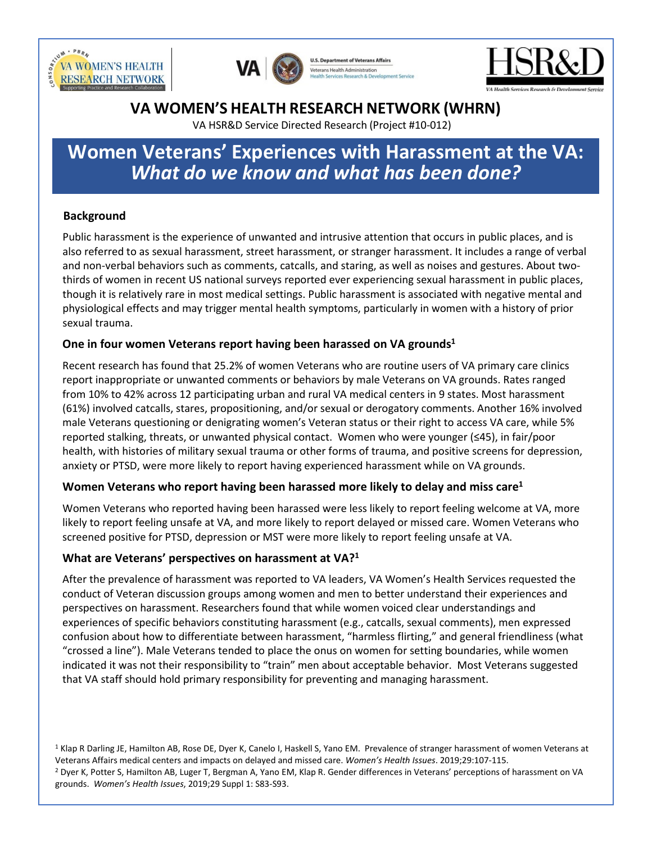



**U.S. Department of Veterans Affairs** terans Health Administration



# **VA WOMEN'S HEALTH RESEARCH NETWORK (WHRN)**

VA HSR&D Service Directed Research (Project #10-012)

# **Women Veterans' Experiences with Harassment at the VA:** *What do we know and what has been done?*

## **Background**

Public harassment is the experience of unwanted and intrusive attention that occurs in public places, and is also referred to as sexual harassment, street harassment, or stranger harassment. It includes a range of verbal and non-verbal behaviors such as comments, catcalls, and staring, as well as noises and gestures. About twothirds of women in recent US national surveys reported ever experiencing sexual harassment in public places, though it is relatively rare in most medical settings. Public harassment is associated with negative mental and physiological effects and may trigger mental health symptoms, particularly in women with a history of prior sexual trauma.

#### **One in four women Veterans report having been harassed on VA grounds1**

Recent research has found that 25.2% of women Veterans who are routine users of VA primary care clinics report inappropriate or unwanted comments or behaviors by male Veterans on VA grounds. Rates ranged from 10% to 42% across 12 participating urban and rural VA medical centers in 9 states. Most harassment (61%) involved catcalls, stares, propositioning, and/or sexual or derogatory comments. Another 16% involved male Veterans questioning or denigrating women's Veteran status or their right to access VA care, while 5% reported stalking, threats, or unwanted physical contact. Women who were younger (≤45), in fair/poor health, with histories of military sexual trauma or other forms of trauma, and positive screens for depression, anxiety or PTSD, were more likely to report having experienced harassment while on VA grounds.

## **Women Veterans who report having been harassed more likely to delay and miss care1**

Women Veterans who reported having been harassed were less likely to report feeling welcome at VA, more likely to report feeling unsafe at VA, and more likely to report delayed or missed care. Women Veterans who screened positive for PTSD, depression or MST were more likely to report feeling unsafe at VA.

## **What are Veterans' perspectives on harassment at VA?1**

After the prevalence of harassment was reported to VA leaders, VA Women's Health Services requested the conduct of Veteran discussion groups among women and men to better understand their experiences and perspectives on harassment. Researchers found that while women voiced clear understandings and experiences of specific behaviors constituting harassment (e.g., catcalls, sexual comments), men expressed confusion about how to differentiate between harassment, "harmless flirting," and general friendliness (what "crossed a line"). Male Veterans tended to place the onus on women for setting boundaries, while women indicated it was not their responsibility to "train" men about acceptable behavior. Most Veterans suggested that VA staff should hold primary responsibility for preventing and managing harassment.

<sup>1</sup> Klap R Darling JE, Hamilton AB, Rose DE, Dyer K, Canelo I, Haskell S, Yano EM. Prevalence of stranger harassment of women Veterans at Veterans Affairs medical centers and impacts on delayed and missed care. Women's Health Issues. 2019;29:107-115.<br><sup>2</sup> Dyer K, Potter S, Hamilton AB, Luger T, Bergman A, Yano EM, Klap R. Gender differences in Veterans' perce grounds. *Women's Health Issues*, 2019;29 Suppl 1: S83-S93.